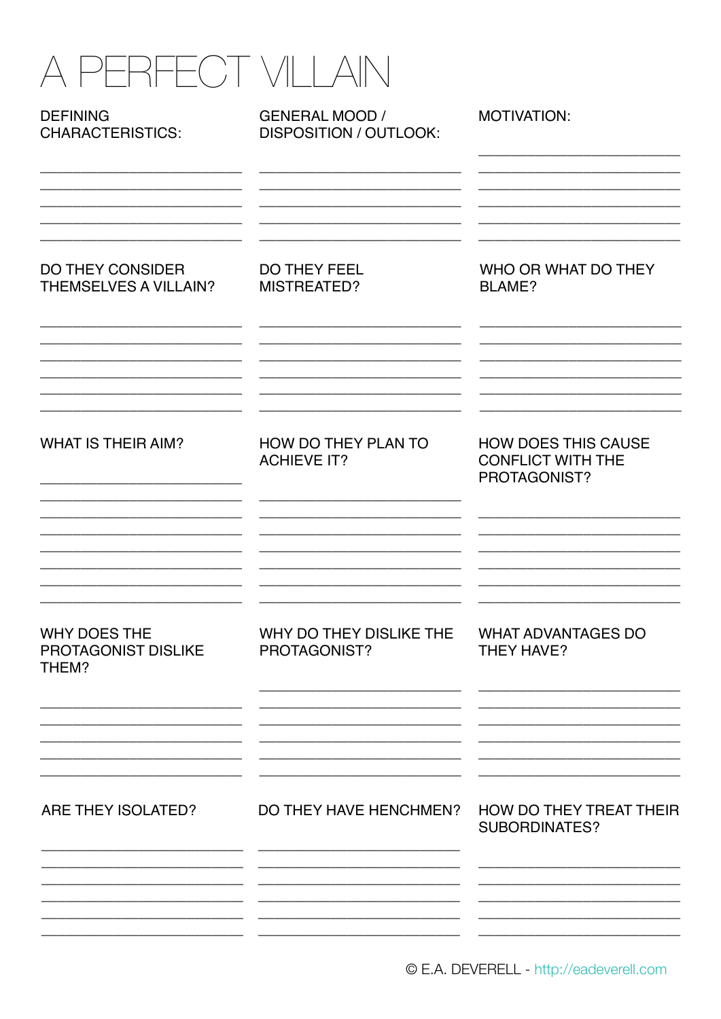| PERFECT VILLAI                                          |                                                        |                                                                        |
|---------------------------------------------------------|--------------------------------------------------------|------------------------------------------------------------------------|
| <b>DEFINING</b><br><b>CHARACTERISTICS:</b>              | <b>GENERAL MOOD /</b><br><b>DISPOSITION / OUTLOOK:</b> | MOTIVATION:                                                            |
| <b>DO THEY CONSIDER</b><br><b>THEMSELVES A VILLAIN?</b> | <b>DO THEY FEEL</b><br>MISTREATED?                     | WHO OR WHAT DO THEY<br><b>BLAME?</b>                                   |
| <b>WHAT IS THEIR AIM?</b>                               | HOW DO THEY PLAN TO<br><b>ACHIEVE IT?</b>              | <b>HOW DOES THIS CAUSE</b><br><b>CONFLICT WITH THE</b><br>PROTAGONIST? |
| WHY DOES THE<br><b>PROTAGONIST DISLIKE</b><br>THEM?     | WHY DO THEY DISLIKE THE<br>PROTAGONIST?                | <b>WHAT ADVANTAGES DO</b><br><b>THEY HAVE?</b>                         |
| ARE THEY ISOLATED?                                      | DO THEY HAVE HENCHMEN?                                 | HOW DO THEY TREAT THEIR<br><b>SUBORDINATES?</b>                        |
|                                                         |                                                        |                                                                        |